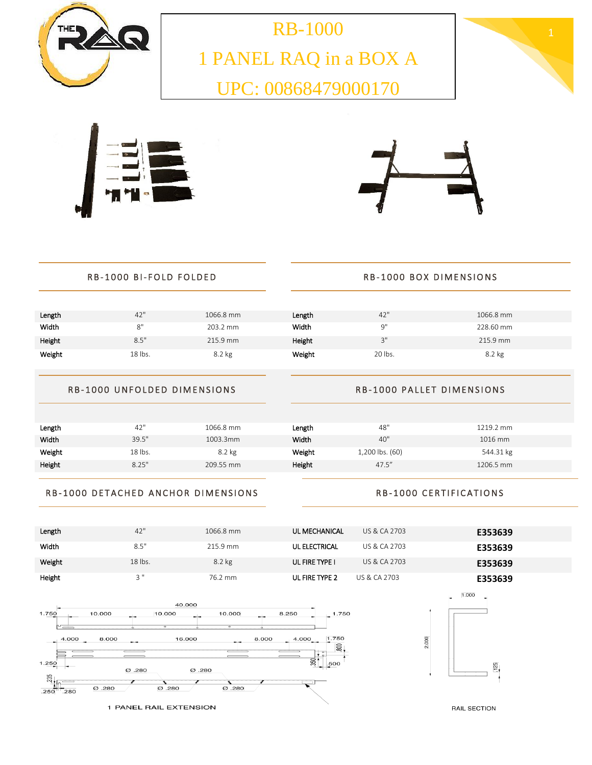

1 PANEL RAQ in a BOX A UPC: 00868479000170







## RB-1000 BI-FOLD FOLDED RB-1000 BOX DIMENSIONS

## **Length**  $42"$   $1066.8$  mm **Length**  $42"$   $1066.8$  mm Width 8" 203.2 mm Width 9" 228.60 mm Height 8.5" 215.9 mm Height 3" 215.9 mm Weight 18 lbs. 8.2 kg Weight 20 lbs. 8.2 kg

## RB-1000 UNFOLDED DIMENSIONS

### RB-1000 PALLET DIMENSIONS

| Length | 42"     | 1066.8 mm | Length | 48"             | 1219.2 mm |
|--------|---------|-----------|--------|-----------------|-----------|
| Width  | 39.5"   | 1003.3mm  | Width  | 40"             | 1016 mm   |
| Weight | 18 lbs. | 8.2 kg    | Weight | 1,200 lbs. (60) | 544.31 kg |
| Height | 8.25"   | 209.55 mm | Height | 47.5''          | 1206.5 mm |

## RB-1000 DETACHED ANCHOR DIMENSIONS

## RB-1000 CERTIFICATIONS

2.000







 $125$ 

1.000

RAIL SECTION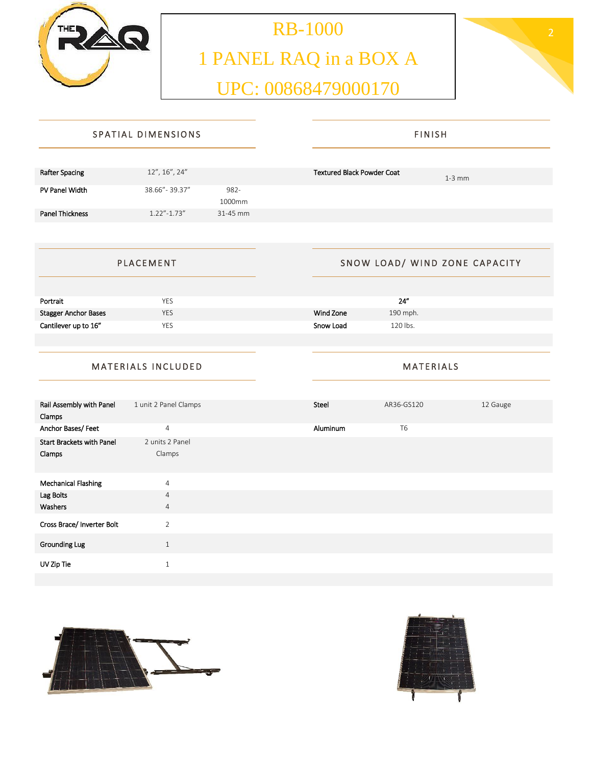

# RB-1000 2 1 PANEL RAQ in a BOX A UPC: 00868479000170



| SPATIAL DIMENSIONS     |                   |                | <b>FINISH</b>                                 |  |  |
|------------------------|-------------------|----------------|-----------------------------------------------|--|--|
|                        |                   |                |                                               |  |  |
| <b>Rafter Spacing</b>  | 12", 16", 24"     |                | <b>Textured Black Powder Coat</b><br>$1-3$ mm |  |  |
| PV Panel Width         | 38.66" - 39.37"   | 982-<br>1000mm |                                               |  |  |
| <b>Panel Thickness</b> | $1.22'' - 1.73''$ | 31-45 mm       |                                               |  |  |
|                        |                   |                |                                               |  |  |
| <b>PLACEMENT</b>       |                   |                | SNOW LOAD/ WIND ZONE CAPACITY                 |  |  |

| Portrait             | YES        | 24"                    |
|----------------------|------------|------------------------|
| Stagger Anchor Bases | <b>YES</b> | Wind Zone<br>190 mph.  |
| Cantilever up to 16" | <b>YES</b> | 1.20 lbs.<br>Snow Load |
|                      |            |                        |

## MATERIALS INCLUDED

| Rail Assembly with Panel         | 1 unit 2 Panel Clamps     | Steel    | AR36-GS120     | 12 Gauge |
|----------------------------------|---------------------------|----------|----------------|----------|
| Clamps                           |                           |          |                |          |
| Anchor Bases/Feet                | $\overline{4}$            | Aluminum | T <sub>6</sub> |          |
| <b>Start Brackets with Panel</b> | 2 units 2 Panel           |          |                |          |
| Clamps                           | Clamps                    |          |                |          |
|                                  |                           |          |                |          |
| <b>Mechanical Flashing</b>       | $\overline{4}$            |          |                |          |
| Lag Bolts                        | $\overline{4}$            |          |                |          |
| Washers                          | $\overline{4}$            |          |                |          |
| Cross Brace/ Inverter Bolt       | $\overline{2}$            |          |                |          |
| Grounding Lug                    | $\mathbf{1}$              |          |                |          |
| UV Zip Tie                       | $\overline{ }$<br>$\perp$ |          |                |          |





**MATERIALS**